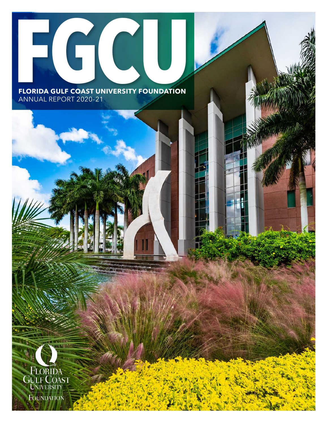# **FGCU FLORIDA GULF COAST UNIVERSITY FOUNDATION**

ANNUAL REPORT 2020-21

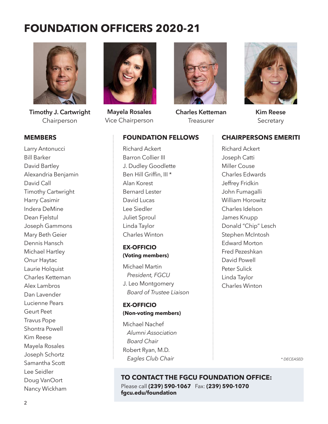# **FOUNDATION OFFICERS 2020-21**



**Timothy J. Cartwright** Chairperson

#### **MEMBERS**

Larry Antonucci Bill Barker David Bartley Alexandria Benjamin David Call Timothy Cartwright Harry Casimir Indera DeMine Dean Fjelstul Joseph Gammons Mary Beth Geier Dennis Hansch Michael Hartley Onur Haytac Laurie Holquist Charles Ketteman Alex Lambros Dan Lavender Lucienne Pears Geurt Peet Travus Pope Shontra Powell Kim Reese Mayela Rosales Joseph Schortz Samantha Scott Lee Seidler Doug VanOort Nancy Wickham



**Mayela Rosales** Vice Chairperson



**Charles Ketteman Treasurer** 



**Kim Reese Secretary** 

#### **CHAIRPERSONS EMERITI**

Richard Ackert Barron Collier III J. Dudley Goodlette Ben Hill Griffin, III \* Alan Korest Bernard Lester David Lucas Lee Siedler Juliet Sproul Linda Taylor Charles Winton **EX-OFFICIO** 

**FOUNDATION FELLOWS**

# **(Voting members)**

Michael Martin  *President, FGCU* J. Leo Montgomery *Board of Trustee Liaison*

#### **EX-OFFICIO (Non-voting members)**

Michael Nachef  *Alumni Association Board Chair* Robert Ryan, M.D. *Eagles Club Chair*

Richard Ackert Joseph Catti Miller Couse Charles Edwards Jeffrey Fridkin John Fumagalli William Horowitz Charles Idelson James Knupp Donald "Chip" Lesch Stephen McIntosh Edward Morton Fred Pezeshkan David Powell Peter Sulick Linda Taylor Charles Winton

*\* DECEASED*

#### Please call **(239) 590-1067** Fax: **(239) 590-1070 fgcu.edu/foundation TO CONTACT THE FGCU FOUNDATION OFFICE:**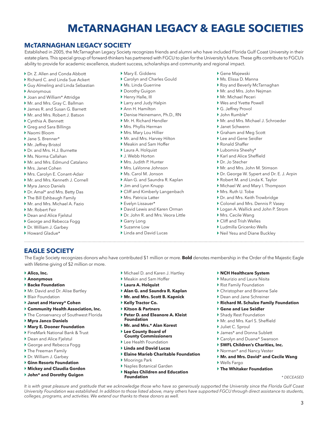# **McTARNAGHAN LEGACY & EAGLE SOCIETIES**

#### **McTARNAGHAN LEGACY SOCIETY**

Established in 2005, the McTarnaghan Legacy Society recognizes friends and alumni who have included Florida Gulf Coast University in their estate plans. This special group of forward-thinkers has partnered with FGCU to plan for the University's future. These gifts contribute to FGCU's ability to provide for academic excellence, student success, scholarships and community and regional impact.

- ▶ Dr. Z. Allen and Conda Abbott
- ▶ Richard C. and Linda Sue Ackert
- } Guy Almeling and Linda Sebastian
- } Anonymous
- } Joan and William\* Attridge
- } Mr. and Mrs. Gray C. Ballman
- } James R. and Susan G. Barnett
- } Mr. and Mrs. Robert J. Batson
- } Cynthia A. Bennett
- } Greg and Sara Billings
- } Naomi Bloom
- } Jane S. Brenner\*
- } Mr. Jeffrey Bristol
- } Dr. and Mrs. H.J. Burnette
- } Ms. Norma Callahan
- } Mr. and Mrs. Edmund Catalano
- } Mrs. Janet Cohen
- } Mrs. Carolyn E. Conant-Adair
- } Mr. and Mrs. Kenneth J. Cornell
- } Myra Janco Daniels
- } Dr. Amal\* and Mrs. Betty Das
- } The Bill Eshbaugh Family
- } Mr. and Mrs. Michael A. Fazio
- ▶ Mr. Robert Feir
- } Dean and Alice Fjelstul
- } George and Rebecca Fogg
- } Dr. William J. Garbey
- } Howard Gladue\*
- } Mary E. Giddens
- } Carolyn and Charles Gould
- } Ms. Linda Guerrine
- ▶ Dorothy Guigon
- } Henry Halle, III
- } Larry and Judy Halpin
- } Ann H. Hamilton
- } Denise Heinemann, Ph.D., RN
- } Mr. H. Richard Hendler
- } Mrs. Phyllis Herman
- } Mrs. Mary Lou Hillier
- } Mr. and Mrs. Harvey Hilton
- } Meakin and Sam Hoffer
- } Laura A. Holquist
- } J. Webb Horton ▶ Mrs. Judith P. Hunter
- } Mrs. LaVonne Johnson
- } Ms. Carol M. Jonson
- } Alan G. and Saundra R. Kaplan
- } Jim and Lynn Knupp
- } Cliff and Kimberly Langenbach
- } Mrs. Patricia Latter
- } Evelyn Lissauer\*
- } David Lewis and Karen Orman
- ▶ Dr. John R. and Mrs. Veora Little

} Michael D. and Karen J. Hartley } Meakin and Sam Hoffer } **Laura A. Holquist**

} **Alan G. and Saundra R. Kaplan**  } **Mr. and Mrs. Scott B. Kapnick** 

} **Peter D. and Eleanore A. Kleist** 

} **Elaine Marieb Charitable Foundation**

*It is with great pleasure and gratitude that we acknowledge those who have so generously supported the University since the Florida Gulf Coast University Foundation was established. In addition to those listed above, many others have supported FGCU through direct assistance to students,* 

} **Mr. and Mrs.\* Alan Korest**  } **Lee County Board of County Commissioners** ▶ Lee Health Foundation } **Linda and David Lucas** 

} Naples Botanical Garden } **Naples Children and Education** 

} **Kelly Tractor Co.**  } **Kitson & Partners** 

**Foundation** 

▶ Moorings Park

**Foundation** 

*colleges, programs, and activities. We extend our thanks to these donors as well.*

- } Garry Long
- } Suzanne Low
- } Linda and David Lucas
- } Gene Majewski
- } Ms. Elissa D. Manna
- } Roy and Beverly McTarnaghan
- } Mr. and Mrs. John Nejman
- } Mr. Michael Peceri
- } Wes and Yvette Powell
- ▶ G. Jeffrey Provol
- } John Rumble\*
- } Mr. and Mrs. Michael J. Schroeder
- } Janet Schwenn
- } Graham and Meg Scott
- } Lee and Gene Seidler
- ▶ Ronald Shaffer
- } Lubomira Sheehy\*
- ▶ Karl and Alice Sheffield
- } Dr. Jo Stecher
- } Mr. and Mrs. John M. Stimson
- ▶ Dr. George W. Sypert and Dr. E. J. Arpin
- } Robert M. and Linda K. Taylor
- } Michael W. and Mary I. Thompson
- ▶ Mrs. Ruth U. Tobe
- } Dr. and Mrs. Keith Trowbridge
- } Colonel and Mrs. Dennis P. Vasey
- ▶ Logan A. Wallick and John P. Strom

3

*\* DECEASED*

- } Mrs. Cecile Wang
- } Cliff and Trish Welles
- } Ludmilla Gricenko Wells

} **NCH Healthcare System**  } Maurizio and Laura Nisita Rist Family Foundation } Christopher and Brianne Sale } Dean and Jane Schreiner

} **Gene and Lee Seidler** ▶ Shady Rest Foundation } Mr. and Mrs. Karl S. Sheffield

} James\* and Donna Sublett } Carolyn and Duane\* Swanson } **SWFL Children's Charities, Inc.** } Norman\* and Nancy Vester

} **The Whitaker Foundation**

▶ Juliet C. Sproul

} Wells Fargo

} **Richard M. Schulze Family Foundation**

} **Mr. and Mrs. David\* and Cecile Wang**

} Neil Yesu and Diane Buckley

#### **EAGLE SOCIETY**

The Eagle Society recognizes donors who have contributed \$1 million or more. **Bold** denotes membership in the Order of the Majestic Eagle with lifetime giving of \$2 million or more.

- } **Alico, Inc.**
- } **Anonymous**
- } **Backe Foundation**
- ▶ Mr. David and Dr. Alise Bartley
- ▶ Blair Foundation
- } **Janet and Harvey\* Cohen**
- } **Community Health Association, Inc.**
- } The Conservancy of Southwest Florida
- } **Myra Janco Daniels**

▶ The Freeman Family } Dr. William J. Garbey } **Ginn Resorts Foundation**  } **Mickey and Claudia Gordon**  } **John\* and Dorothy Guigon**

- } **Mary E. Dooner Foundation**
- } FineMark National Bank & Trust
- ▶ Dean and Alice Fjelstul } George and Rebecca Fogg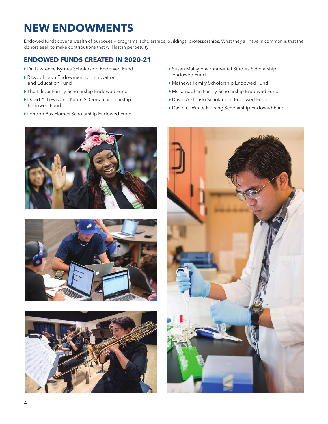# **NEW ENDOWMENTS**

Endowed funds cover a wealth of purposes — programs, scholarships, buildings, professorships. What they all have in common is that the donors seek to make contributions that will last in perpetuity.

#### **ENDOWED FUNDS CREATED IN 2020-21**

- } Dr. Lawrence Byrnes Scholarship Endowed Fund
- } Rick Johnson Endowment for Innovation and Education Fund
- } The Kiliper Family Scholarship Endowed Fund
- } David A. Lewis and Karen S. Orman Scholarship Endowed Fund
- } London Bay Homes Scholarship Endowed Fund







- } Susan Malay Environmental Studies Scholarship Endowed Fund
- } Mathews Family Scholarship Endowed Fund
- } McTarnaghan Family Scholarship Endowed Fund
- } David A Plonski Scholarship Endowed Fund
- } David C. White Nursing Scholarship Endowed Fund

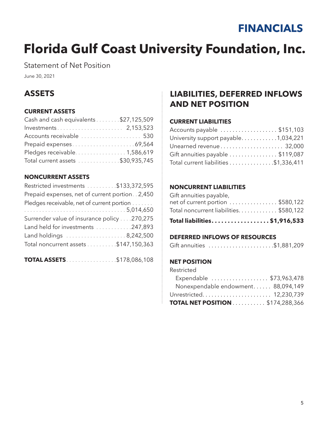# **FINANCIALS**

# **Florida Gulf Coast University Foundation, Inc.**

Statement of Net Position

June 30, 2021

# **ASSETS**

#### **CURRENT ASSETS**

| Cash and cash equivalents \$27,125,509 |  |
|----------------------------------------|--|
|                                        |  |
| Accounts receivable  530               |  |
|                                        |  |
|                                        |  |
| Total current assets \$30,935,745      |  |

#### **NONCURRENT ASSETS**

| Restricted investments \$133,372,595            |
|-------------------------------------------------|
| Prepaid expenses, net of current portion. 2,450 |
| Pledges receivable, net of current portion      |
|                                                 |
| Surrender value of insurance policy 270,275     |
| Land held for investments 247,893               |
| Land holdings 8,242,500                         |
| Total noncurrent assets \$147,150,363           |
|                                                 |

**TOTAL ASSETS**. . . . . . . . . . . . . . . . \$178,086,108

## **LIABILITIES, DEFERRED INFLOWS AND NET POSITION**

#### **CURRENT LIABILITIES**

| Accounts payable \$151,103            |  |
|---------------------------------------|--|
| University support payable1,034,221   |  |
|                                       |  |
| Gift annuities payable \$119,087      |  |
| Total current liabilities \$1,336,411 |  |

#### **NONCURRENT LIABILITIES**

| Total liabilities\$1,916,533          |  |
|---------------------------------------|--|
| Total noncurrent liabilities\$580,122 |  |
| net of current portion \$580,122      |  |
| Gift annuities payable,               |  |

#### **DEFERRED INFLOWS OF RESOURCES**

|  | Gift annuities \$1,881,209 |  |  |  |
|--|----------------------------|--|--|--|
|--|----------------------------|--|--|--|

#### **NET POSITION**

| Restricted                              |  |
|-----------------------------------------|--|
| Expendable  \$73,963,478                |  |
| Nonexpendable endowment 88,094,149      |  |
| Unrestricted 12,230,739                 |  |
| <b>TOTAL NET POSITION</b> \$174,288,366 |  |